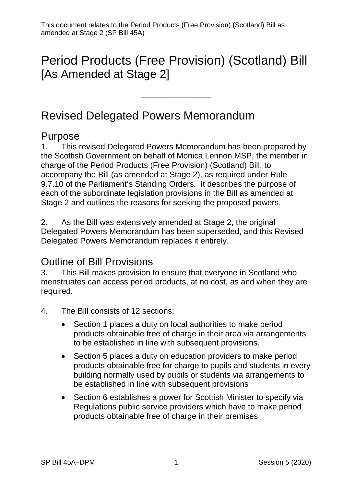# Period Products (Free Provision) (Scotland) Bill [As Amended at Stage 2]

——————————

# Revised Delegated Powers Memorandum

#### Purpose

1. This revised Delegated Powers Memorandum has been prepared by the Scottish Government on behalf of Monica Lennon MSP, the member in charge of the Period Products (Free Provision) (Scotland) Bill, to accompany the Bill (as amended at Stage 2), as required under Rule 9.7.10 of the Parliament's Standing Orders. It describes the purpose of each of the subordinate legislation provisions in the Bill as amended at Stage 2 and outlines the reasons for seeking the proposed powers.

2. As the Bill was extensively amended at Stage 2, the original Delegated Powers Memorandum has been superseded, and this Revised Delegated Powers Memorandum replaces it entirely.

## Outline of Bill Provisions

3. This Bill makes provision to ensure that everyone in Scotland who menstruates can access period products, at no cost, as and when they are required.

- 4. The Bill consists of 12 sections:
	- Section 1 places a duty on local authorities to make period products obtainable free of charge in their area via arrangements to be established in line with subsequent provisions.
	- Section 5 places a duty on education providers to make period products obtainable free for charge to pupils and students in every building normally used by pupils or students via arrangements to be established in line with subsequent provisions
	- Section 6 establishes a power for Scottish Minister to specify via Regulations public service providers which have to make period products obtainable free of charge in their premises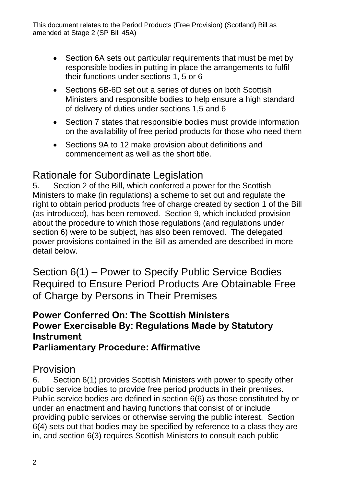- Section 6A sets out particular requirements that must be met by responsible bodies in putting in place the arrangements to fulfil their functions under sections 1, 5 or 6
- Sections 6B-6D set out a series of duties on both Scottish Ministers and responsible bodies to help ensure a high standard of delivery of duties under sections 1,5 and 6
- Section 7 states that responsible bodies must provide information on the availability of free period products for those who need them
- Sections 9A to 12 make provision about definitions and commencement as well as the short title.

# Rationale for Subordinate Legislation

5. Section 2 of the Bill, which conferred a power for the Scottish Ministers to make (in regulations) a scheme to set out and regulate the right to obtain period products free of charge created by section 1 of the Bill (as introduced), has been removed. Section 9, which included provision about the procedure to which those regulations (and regulations under section 6) were to be subject, has also been removed. The delegated power provisions contained in the Bill as amended are described in more detail below.

Section 6(1) – Power to Specify Public Service Bodies Required to Ensure Period Products Are Obtainable Free of Charge by Persons in Their Premises

#### **Power Conferred On: The Scottish Ministers Power Exercisable By: Regulations Made by Statutory Instrument Parliamentary Procedure: Affirmative**

## Provision

6. Section 6(1) provides Scottish Ministers with power to specify other public service bodies to provide free period products in their premises. Public service bodies are defined in section 6(6) as those constituted by or under an enactment and having functions that consist of or include providing public services or otherwise serving the public interest. Section 6(4) sets out that bodies may be specified by reference to a class they are in, and section 6(3) requires Scottish Ministers to consult each public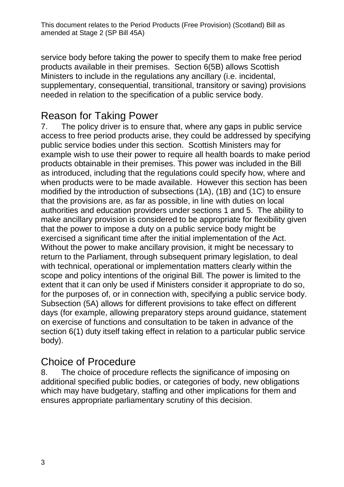service body before taking the power to specify them to make free period products available in their premises. Section 6(5B) allows Scottish Ministers to include in the regulations any ancillary (i.e. incidental, supplementary, consequential, transitional, transitory or saving) provisions needed in relation to the specification of a public service body.

## Reason for Taking Power

7. The policy driver is to ensure that, where any gaps in public service access to free period products arise, they could be addressed by specifying public service bodies under this section. Scottish Ministers may for example wish to use their power to require all health boards to make period products obtainable in their premises. This power was included in the Bill as introduced, including that the regulations could specify how, where and when products were to be made available. However this section has been modified by the introduction of subsections (1A), (1B) and (1C) to ensure that the provisions are, as far as possible, in line with duties on local authorities and education providers under sections 1 and 5. The ability to make ancillary provision is considered to be appropriate for flexibility given that the power to impose a duty on a public service body might be exercised a significant time after the initial implementation of the Act. Without the power to make ancillary provision, it might be necessary to return to the Parliament, through subsequent primary legislation, to deal with technical, operational or implementation matters clearly within the scope and policy intentions of the original Bill. The power is limited to the extent that it can only be used if Ministers consider it appropriate to do so, for the purposes of, or in connection with, specifying a public service body. Subsection (5A) allows for different provisions to take effect on different days (for example, allowing preparatory steps around guidance, statement on exercise of functions and consultation to be taken in advance of the section 6(1) duty itself taking effect in relation to a particular public service body).

## Choice of Procedure

8. The choice of procedure reflects the significance of imposing on additional specified public bodies, or categories of body, new obligations which may have budgetary, staffing and other implications for them and ensures appropriate parliamentary scrutiny of this decision.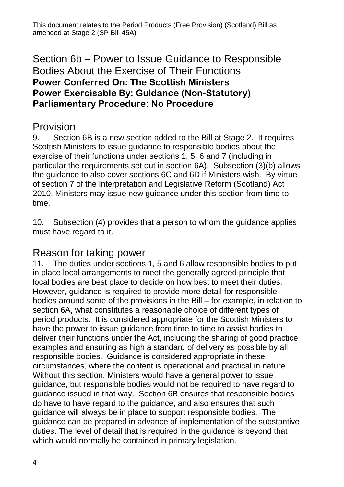### Section 6b – Power to Issue Guidance to Responsible Bodies About the Exercise of Their Functions **Power Conferred On: The Scottish Ministers Power Exercisable By: Guidance (Non-Statutory) Parliamentary Procedure: No Procedure**

# Provision

9. Section 6B is a new section added to the Bill at Stage 2. It requires Scottish Ministers to issue guidance to responsible bodies about the exercise of their functions under sections 1, 5, 6 and 7 (including in particular the requirements set out in section 6A). Subsection (3)(b) allows the guidance to also cover sections 6C and 6D if Ministers wish. By virtue of section 7 of the Interpretation and Legislative Reform (Scotland) Act 2010, Ministers may issue new guidance under this section from time to time.

10. Subsection (4) provides that a person to whom the guidance applies must have regard to it.

## Reason for taking power

11. The duties under sections 1, 5 and 6 allow responsible bodies to put in place local arrangements to meet the generally agreed principle that local bodies are best place to decide on how best to meet their duties. However, guidance is required to provide more detail for responsible bodies around some of the provisions in the Bill – for example, in relation to section 6A, what constitutes a reasonable choice of different types of period products. It is considered appropriate for the Scottish Ministers to have the power to issue guidance from time to time to assist bodies to deliver their functions under the Act, including the sharing of good practice examples and ensuring as high a standard of delivery as possible by all responsible bodies. Guidance is considered appropriate in these circumstances, where the content is operational and practical in nature. Without this section, Ministers would have a general power to issue guidance, but responsible bodies would not be required to have regard to guidance issued in that way. Section 6B ensures that responsible bodies do have to have regard to the guidance, and also ensures that such guidance will always be in place to support responsible bodies. The guidance can be prepared in advance of implementation of the substantive duties. The level of detail that is required in the guidance is beyond that which would normally be contained in primary legislation.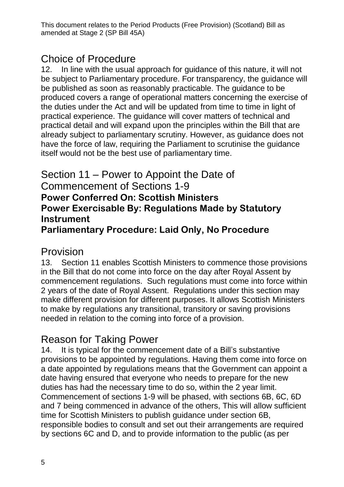# Choice of Procedure

12. In line with the usual approach for guidance of this nature, it will not be subject to Parliamentary procedure. For transparency, the guidance will be published as soon as reasonably practicable. The guidance to be produced covers a range of operational matters concerning the exercise of the duties under the Act and will be updated from time to time in light of practical experience. The guidance will cover matters of technical and practical detail and will expand upon the principles within the Bill that are already subject to parliamentary scrutiny. However, as guidance does not have the force of law, requiring the Parliament to scrutinise the guidance itself would not be the best use of parliamentary time.

#### Section 11 – Power to Appoint the Date of Commencement of Sections 1-9 **Power Conferred On: Scottish Ministers Power Exercisable By: Regulations Made by Statutory Instrument Parliamentary Procedure: Laid Only, No Procedure**

#### Provision

13. Section 11 enables Scottish Ministers to commence those provisions in the Bill that do not come into force on the day after Royal Assent by commencement regulations. Such regulations must come into force within 2 years of the date of Royal Assent. Regulations under this section may make different provision for different purposes. It allows Scottish Ministers to make by regulations any transitional, transitory or saving provisions needed in relation to the coming into force of a provision.

# Reason for Taking Power

14. It is typical for the commencement date of a Bill's substantive provisions to be appointed by regulations. Having them come into force on a date appointed by regulations means that the Government can appoint a date having ensured that everyone who needs to prepare for the new duties has had the necessary time to do so, within the 2 year limit. Commencement of sections 1-9 will be phased, with sections 6B, 6C, 6D and 7 being commenced in advance of the others, This will allow sufficient time for Scottish Ministers to publish guidance under section 6B, responsible bodies to consult and set out their arrangements are required by sections 6C and D, and to provide information to the public (as per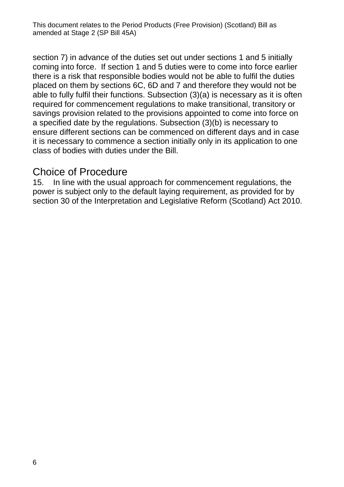section 7) in advance of the duties set out under sections 1 and 5 initially coming into force. If section 1 and 5 duties were to come into force earlier there is a risk that responsible bodies would not be able to fulfil the duties placed on them by sections 6C, 6D and 7 and therefore they would not be able to fully fulfil their functions. Subsection (3)(a) is necessary as it is often required for commencement regulations to make transitional, transitory or savings provision related to the provisions appointed to come into force on a specified date by the regulations. Subsection (3)(b) is necessary to ensure different sections can be commenced on different days and in case it is necessary to commence a section initially only in its application to one class of bodies with duties under the Bill.

#### Choice of Procedure

15. In line with the usual approach for commencement regulations, the power is subject only to the default laying requirement, as provided for by section 30 of the Interpretation and Legislative Reform (Scotland) Act 2010.